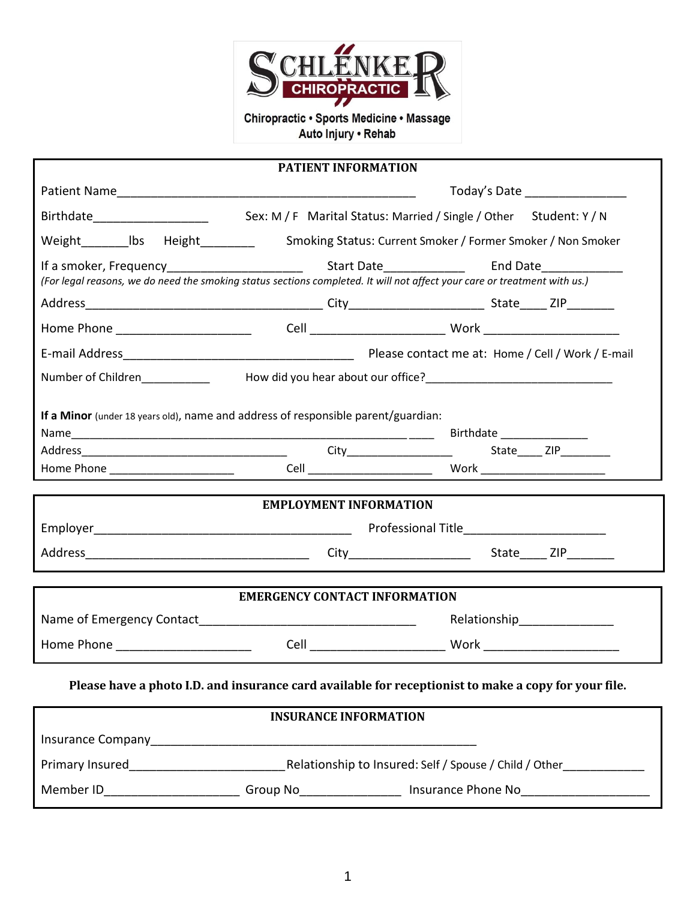

Auto Injury . Rehab

|                                  | <b>PATIENT INFORMATION</b>                                                                                                |                                                                                                      |
|----------------------------------|---------------------------------------------------------------------------------------------------------------------------|------------------------------------------------------------------------------------------------------|
|                                  | Today's Date _________________                                                                                            |                                                                                                      |
|                                  |                                                                                                                           |                                                                                                      |
|                                  |                                                                                                                           |                                                                                                      |
|                                  |                                                                                                                           |                                                                                                      |
|                                  | (For legal reasons, we do need the smoking status sections completed. It will not affect your care or treatment with us.) |                                                                                                      |
|                                  |                                                                                                                           |                                                                                                      |
|                                  |                                                                                                                           |                                                                                                      |
|                                  |                                                                                                                           |                                                                                                      |
|                                  |                                                                                                                           |                                                                                                      |
|                                  |                                                                                                                           |                                                                                                      |
|                                  | If a Minor (under 18 years old), name and address of responsible parent/guardian:                                         |                                                                                                      |
|                                  |                                                                                                                           |                                                                                                      |
|                                  |                                                                                                                           |                                                                                                      |
|                                  |                                                                                                                           |                                                                                                      |
|                                  |                                                                                                                           |                                                                                                      |
|                                  | <b>EMPLOYMENT INFORMATION</b>                                                                                             |                                                                                                      |
|                                  |                                                                                                                           |                                                                                                      |
|                                  |                                                                                                                           |                                                                                                      |
|                                  |                                                                                                                           |                                                                                                      |
|                                  | <b>EMERGENCY CONTACT INFORMATION</b>                                                                                      |                                                                                                      |
|                                  |                                                                                                                           | Relationship_________________                                                                        |
| Home Phone _____________________ |                                                                                                                           |                                                                                                      |
|                                  |                                                                                                                           | Please have a photo I.D. and insurance card available for receptionist to make a copy for your file. |
|                                  | <b>INSURANCE INFORMATION</b>                                                                                              |                                                                                                      |
|                                  |                                                                                                                           |                                                                                                      |
|                                  |                                                                                                                           |                                                                                                      |
|                                  |                                                                                                                           |                                                                                                      |

Member ID\_\_\_\_\_\_\_\_\_\_\_\_\_\_\_\_\_\_\_\_ Group No\_\_\_\_\_\_\_\_\_\_\_\_\_\_\_ Insurance Phone No\_\_\_\_\_\_\_\_\_\_\_\_\_\_\_\_\_\_\_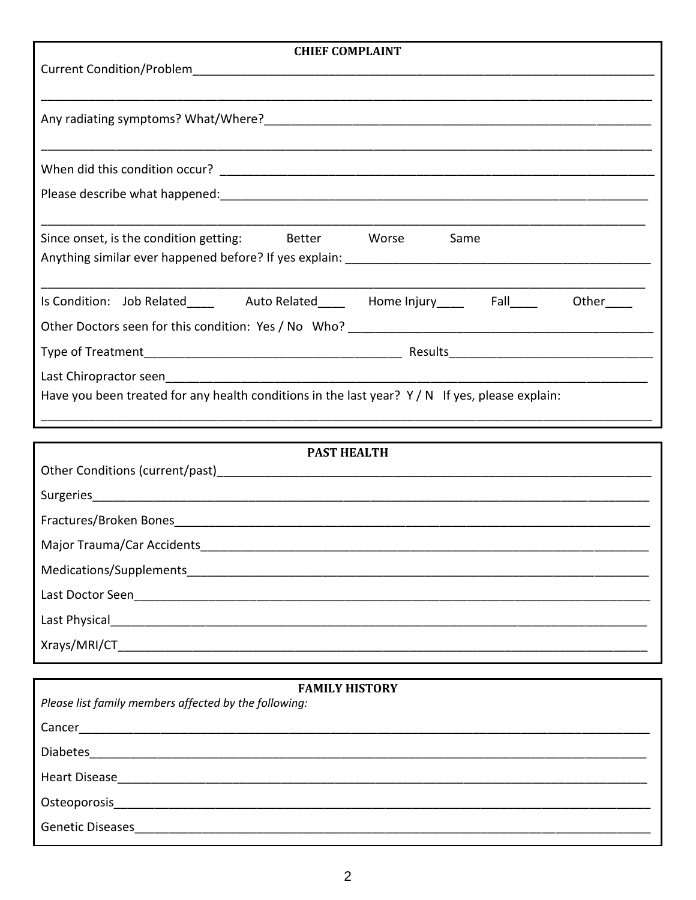| <b>CHIEF COMPLAINT</b>                                                                                      |  |  |
|-------------------------------------------------------------------------------------------------------------|--|--|
|                                                                                                             |  |  |
|                                                                                                             |  |  |
|                                                                                                             |  |  |
|                                                                                                             |  |  |
|                                                                                                             |  |  |
|                                                                                                             |  |  |
|                                                                                                             |  |  |
|                                                                                                             |  |  |
|                                                                                                             |  |  |
| Since onset, is the condition getting: Better Worse<br>Same                                                 |  |  |
|                                                                                                             |  |  |
|                                                                                                             |  |  |
| Is Condition: Job Related___________ Auto Related__________ Home Injury__________ Fall_____<br>Other $\_\_$ |  |  |
|                                                                                                             |  |  |
|                                                                                                             |  |  |
|                                                                                                             |  |  |
| Have you been treated for any health conditions in the last year? $Y/N$ If yes, please explain:             |  |  |
|                                                                                                             |  |  |

| <b>PAST HEALTH</b>                                                                                              |
|-----------------------------------------------------------------------------------------------------------------|
|                                                                                                                 |
|                                                                                                                 |
| Fractures/Broken Bones                                                                                          |
| Major Trauma/Car Accidents <b>Example 2018</b>                                                                  |
|                                                                                                                 |
| Last Doctor Seen _________________                                                                              |
| Last Physical and the control of the control of the control of the control of the control of the control of the |
|                                                                                                                 |

| <b>FAMILY HISTORY</b>                                                                                                                                                                                                          |  |  |
|--------------------------------------------------------------------------------------------------------------------------------------------------------------------------------------------------------------------------------|--|--|
| Please list family members affected by the following:                                                                                                                                                                          |  |  |
| Cancer                                                                                                                                                                                                                         |  |  |
| Diabetes                                                                                                                                                                                                                       |  |  |
| Heart Disease and the contract of the contract of the contract of the contract of the contract of the contract of the contract of the contract of the contract of the contract of the contract of the contract of the contract |  |  |
| Osteoporosis                                                                                                                                                                                                                   |  |  |
| <b>Genetic Diseases</b>                                                                                                                                                                                                        |  |  |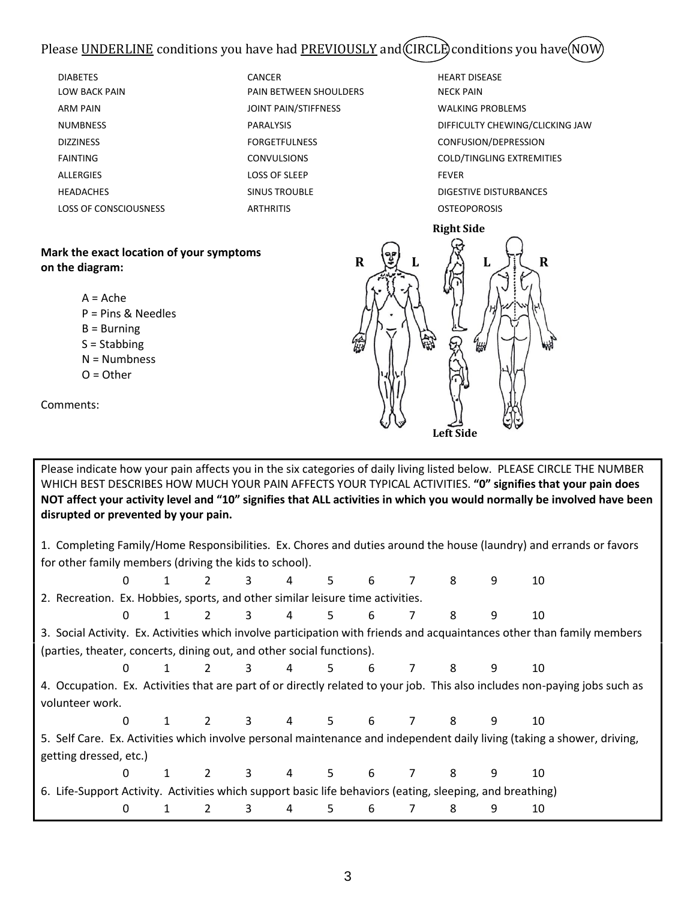## Please UNDERLINE conditions you have had PREVIOUSLY and CIRCLE conditions you have (NOW

| <b>DIABETES</b>                                                                                                                                                       | <b>CANCER</b>          | <b>HEART DISEASE</b>            |
|-----------------------------------------------------------------------------------------------------------------------------------------------------------------------|------------------------|---------------------------------|
| <b>LOW BACK PAIN</b>                                                                                                                                                  | PAIN BETWEEN SHOULDERS | <b>NECK PAIN</b>                |
| <b>ARM PAIN</b>                                                                                                                                                       | JOINT PAIN/STIFFNESS   | <b>WALKING PROBLEMS</b>         |
| <b>NUMBNESS</b>                                                                                                                                                       | <b>PARALYSIS</b>       | DIFFICULTY CHEWING/CLICKING JAW |
| <b>DIZZINESS</b>                                                                                                                                                      | <b>FORGETFULNESS</b>   | CONFUSION/DEPRESSION            |
| <b>FAINTING</b>                                                                                                                                                       | <b>CONVULSIONS</b>     | COLD/TINGLING EXTREMITIES       |
| <b>ALLERGIES</b>                                                                                                                                                      | <b>LOSS OF SLEEP</b>   | <b>FEVER</b>                    |
| <b>HEADACHES</b>                                                                                                                                                      | <b>SINUS TROUBLE</b>   | DIGESTIVE DISTURBANCES          |
| <b>LOSS OF CONSCIOUSNESS</b>                                                                                                                                          | <b>ARTHRITIS</b>       | <b>OSTEOPOROSIS</b>             |
|                                                                                                                                                                       |                        | <b>Right Side</b>               |
| Mark the exact location of your symptoms<br>on the diagram:<br>$A = Ache$<br>$P = Pins & Needles$<br>$B = Burning$<br>$S =$ Stabbing<br>$N =$ Numbness<br>$O = Other$ | $\mathbf R$<br>Îй      | $\mathbf R$<br>L<br>L<br>₩      |

Comments:

Please indicate how your pain affects you in the six categories of daily living listed below. PLEASE CIRCLE THE NUMBER WHICH BEST DESCRIBES HOW MUCH YOUR PAIN AFFECTS YOUR TYPICAL ACTIVITIES. **"0" signifies that your pain does NOT affect your activity level and "10" signifies that ALL activities in which you would normally be involved have been disrupted or prevented by your pain.** 1. Completing Family/Home Responsibilities. Ex. Chores and duties around the house (laundry) and errands or favors for other family members (driving the kids to school). 0 1 2 3 4 5 6 7 8 9 10 2. Recreation. Ex. Hobbies, sports, and other similar leisure time activities. 0 1 2 3 4 5 6 7 8 9 10 3. Social Activity. Ex. Activities which involve participation with friends and acquaintances other than family members (parties, theater, concerts, dining out, and other social functions). 0 1 2 3 4 5 6 7 8 9 10 4. Occupation. Ex. Activities that are part of or directly related to your job. This also includes non-paying jobs such as volunteer work. 0 1 2 3 4 5 6 7 8 9 10 5. Self Care. Ex. Activities which involve personal maintenance and independent daily living (taking a shower, driving, getting dressed, etc.) 0 1 2 3 4 5 6 7 8 9 10 6. Life-Support Activity. Activities which support basic life behaviors (eating, sleeping, and breathing) 0 1 2 3 4 5 6 7 8 9 10

**Left Side**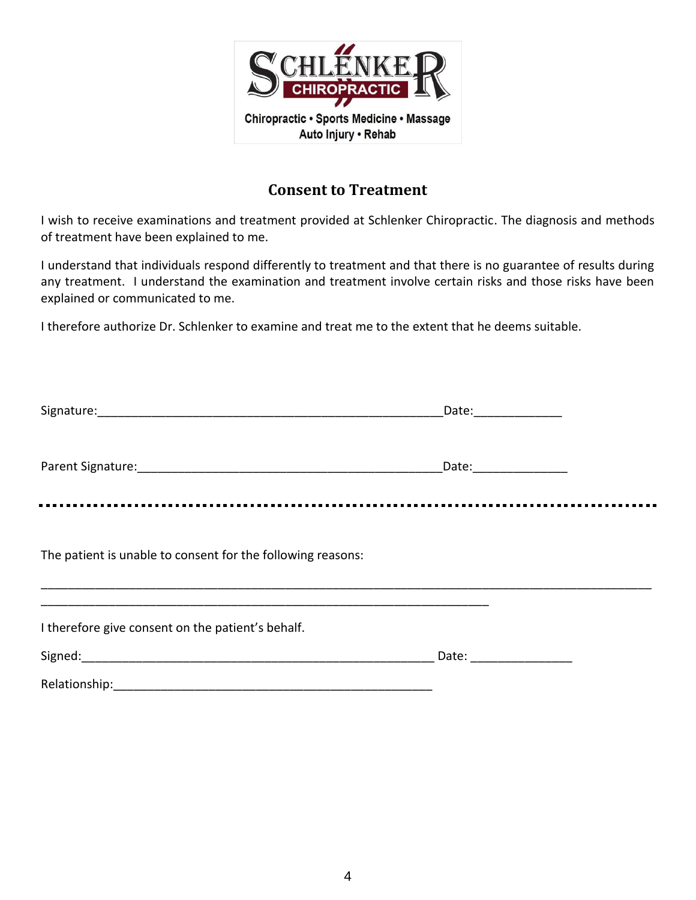

### **Consent to Treatment**

I wish to receive examinations and treatment provided at Schlenker Chiropractic. The diagnosis and methods of treatment have been explained to me.

I understand that individuals respond differently to treatment and that there is no guarantee of results during any treatment. I understand the examination and treatment involve certain risks and those risks have been explained or communicated to me.

I therefore authorize Dr. Schlenker to examine and treat me to the extent that he deems suitable.

|                                                             | Date: ______________ |  |
|-------------------------------------------------------------|----------------------|--|
|                                                             |                      |  |
| The patient is unable to consent for the following reasons: |                      |  |
| I therefore give consent on the patient's behalf.           | Date: ______________ |  |
|                                                             |                      |  |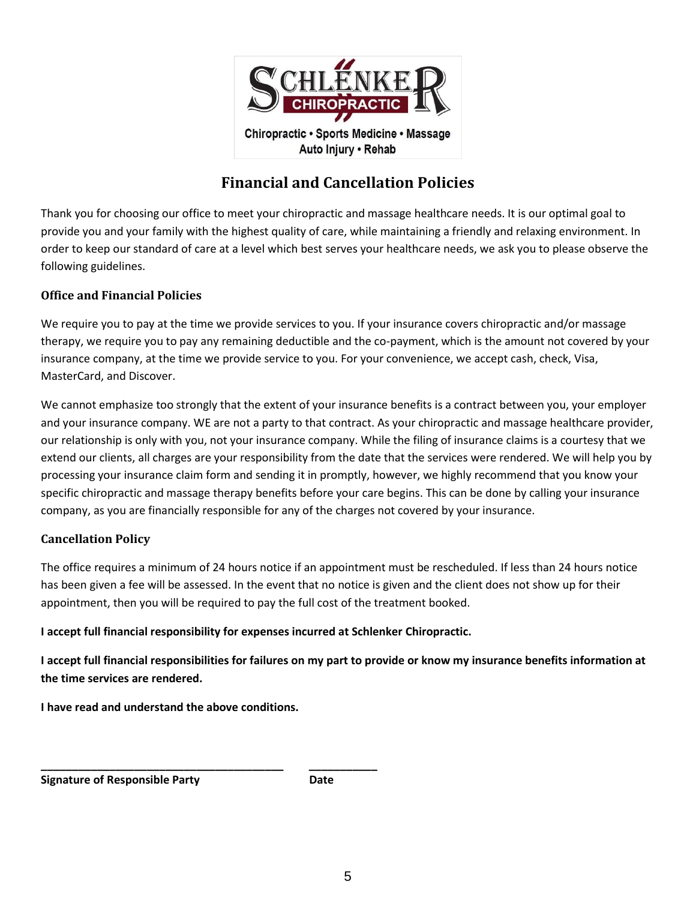

Auto Injury . Rehab

# **Financial and Cancellation Policies**

Thank you for choosing our office to meet your chiropractic and massage healthcare needs. It is our optimal goal to provide you and your family with the highest quality of care, while maintaining a friendly and relaxing environment. In order to keep our standard of care at a level which best serves your healthcare needs, we ask you to please observe the following guidelines.

#### **Office and Financial Policies**

We require you to pay at the time we provide services to you. If your insurance covers chiropractic and/or massage therapy, we require you to pay any remaining deductible and the co-payment, which is the amount not covered by your insurance company, at the time we provide service to you. For your convenience, we accept cash, check, Visa, MasterCard, and Discover.

We cannot emphasize too strongly that the extent of your insurance benefits is a contract between you, your employer and your insurance company. WE are not a party to that contract. As your chiropractic and massage healthcare provider, our relationship is only with you, not your insurance company. While the filing of insurance claims is a courtesy that we extend our clients, all charges are your responsibility from the date that the services were rendered. We will help you by processing your insurance claim form and sending it in promptly, however, we highly recommend that you know your specific chiropractic and massage therapy benefits before your care begins. This can be done by calling your insurance company, as you are financially responsible for any of the charges not covered by your insurance.

#### **Cancellation Policy**

The office requires a minimum of 24 hours notice if an appointment must be rescheduled. If less than 24 hours notice has been given a fee will be assessed. In the event that no notice is given and the client does not show up for their appointment, then you will be required to pay the full cost of the treatment booked.

**I accept full financial responsibility for expenses incurred at Schlenker Chiropractic.** 

**I accept full financial responsibilities for failures on my part to provide or know my insurance benefits information at the time services are rendered.** 

**I have read and understand the above conditions.**

**\_\_\_\_\_\_\_\_\_\_\_\_\_\_\_\_\_\_\_\_\_\_\_\_\_\_\_\_\_\_\_\_\_\_\_\_\_\_\_ \_\_\_\_\_\_\_\_\_\_\_** 

**Signature of Responsible Party Convertision Cate Date**